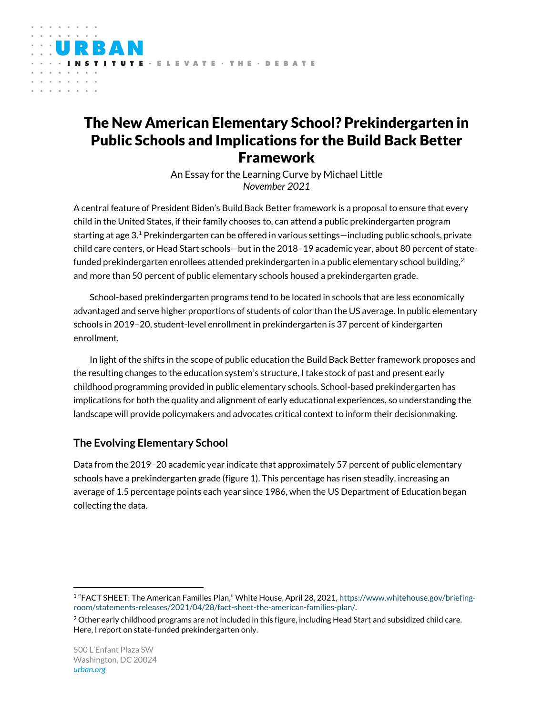# The New American Elementary School? Prekindergarten in Public Schools and Implications for the Build Back Better Framework

**ITUTE · ELEVATE · THE · DEBATE** 

the contract of the con-

An Essay for the Learning Curve by Michael Little *November 2021*

A central feature of President Biden's Build Back Better framework is a proposal to ensure that every child in the United States, if their family chooses to, can attend a public prekindergarten program starting at age 3.<sup>1</sup> Prekindergarten can be offered in various settings—including public schools, private child care centers, or Head Start schools—but in the 2018–19 academic year, about 80 percent of statefunded prekindergarten enrollees attended prekindergarten in a public elementary school building, $^2$ and more than 50 percent of public elementary schools housed a prekindergarten grade.

School-based prekindergarten programs tend to be located in schools that are less economically advantaged and serve higher proportions of students of color than the US average. In public elementary schools in 2019–20, student-level enrollment in prekindergarten is 37 percent of kindergarten enrollment.

In light of the shifts in the scope of public education the Build Back Better framework proposes and the resulting changes to the education system's structure, I take stock of past and present early childhood programming provided in public elementary schools. School-based prekindergarten has implications for both the quality and alignment of early educational experiences, so understanding the landscape will provide policymakers and advocates critical context to inform their decisionmaking.

# **The Evolving Elementary School**

Data from the 2019–20 academic year indicate that approximately 57 percent of public elementary schools have a prekindergarten grade (figure 1). This percentage has risen steadily, increasing an average of 1.5 percentage points each year since 1986, when the US Department of Education began collecting the data.

<sup>1</sup> "FACT SHEET: The American Families Plan," White House, April 28, 2021, [https://www.whitehouse.gov/briefing](https://www.whitehouse.gov/briefing-room/statements-releases/2021/04/28/fact-sheet-the-american-families-plan/)[room/statements-releases/2021/04/28/fact-sheet-the-american-families-plan/.](https://www.whitehouse.gov/briefing-room/statements-releases/2021/04/28/fact-sheet-the-american-families-plan/) 

 $2$  Other early childhood programs are not included in this figure, including Head Start and subsidized child care. Here, I report on state-funded prekindergarten only.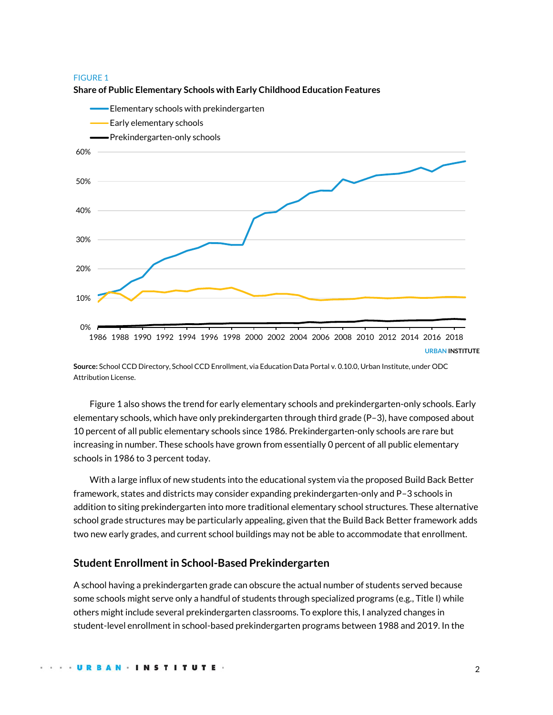#### FIGURE 1



#### **Share of Public Elementary Schools with Early Childhood Education Features**

**Source:** School CCD Directory, School CCD Enrollment, via Education Data Portal v. 0.10.0, Urban Institute, under [ODC](https://opendatacommons.org/licenses/by/1-0/)  [Attribution License.](https://opendatacommons.org/licenses/by/1-0/)

Figure 1 also shows the trend for early elementary schools and prekindergarten-only schools. Early elementary schools, which have only prekindergarten through third grade (P–3), have composed about 10 percent of all public elementary schools since 1986. Prekindergarten-only schools are rare but increasing in number. These schools have grown from essentially 0 percent of all public elementary schools in 1986 to 3 percent today.

With a large influx of new students into the educational system via the proposed Build Back Better framework, states and districts may consider expanding prekindergarten-only and P–3 schools in addition to siting prekindergarten into more traditional elementary school structures. These alternative school grade structures may be particularly appealing, given that the Build Back Better framework adds two new early grades, and current school buildings may not be able to accommodate that enrollment.

## **Student Enrollment in School-Based Prekindergarten**

A school having a prekindergarten grade can obscure the actual number of students served because some schools might serve only a handful of students through specialized programs (e.g., Title I) while others might include several prekindergarten classrooms. To explore this, I analyzed changes in student-level enrollment in school-based prekindergarten programs between 1988 and 2019. In the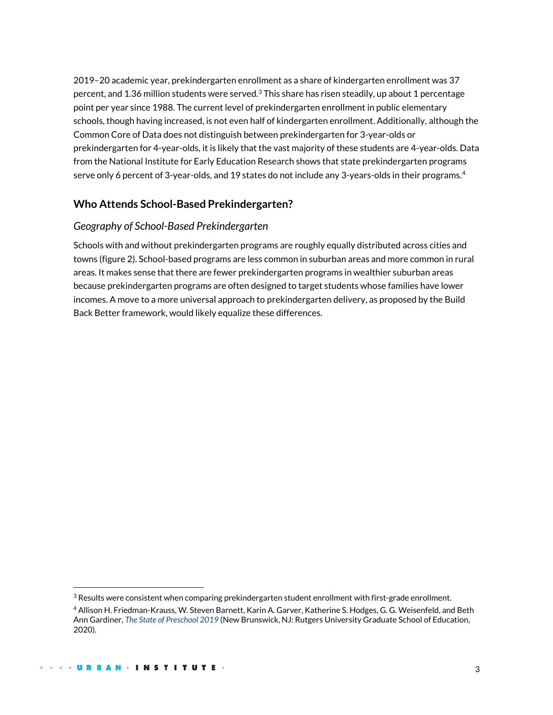2019–20 academic year, prekindergarten enrollment as a share of kindergarten enrollment was 37 percent, and 1.36 million students were served.<sup>3</sup> This share has risen steadily, up about 1 percentage point per year since 1988. The current level of prekindergarten enrollment in public elementary schools, though having increased, is not even half of kindergarten enrollment. Additionally, although the Common Core of Data does not distinguish between prekindergarten for 3-year-olds or prekindergarten for 4-year-olds, it is likely that the vast majority of these students are 4-year-olds. Data from the National Institute for Early Education Research shows that state prekindergarten programs serve only 6 percent of 3-year-olds, and 19 states do not include any 3-years-olds in their programs. 4

# **Who Attends School-Based Prekindergarten?**

# *Geography of School-Based Prekindergarten*

Schools with and without prekindergarten programs are roughly equally distributed across cities and towns (figure 2). School-based programs are less common in suburban areas and more common in rural areas. It makes sense that there are fewer prekindergarten programs in wealthier suburban areas because prekindergarten programs are often designed to target students whose families have lower incomes. A move to a more universal approach to prekindergarten delivery, as proposed by the Build Back Better framework, would likely equalize these differences.

 $3$  Results were consistent when comparing prekindergarten student enrollment with first-grade enrollment.

<sup>4</sup> Allison H. Friedman-Krauss, W. Steven Barnett, Karin A. Garver, Katherine S. Hodges, G. G. Weisenfeld, and Beth Ann Gardiner, *[The State of Preschool 2019](https://nieer.org/wp-content/uploads/2020/05/YB2019_Executive_Summary.pdf)* (New Brunswick, NJ: Rutgers University Graduate School of Education, 2020).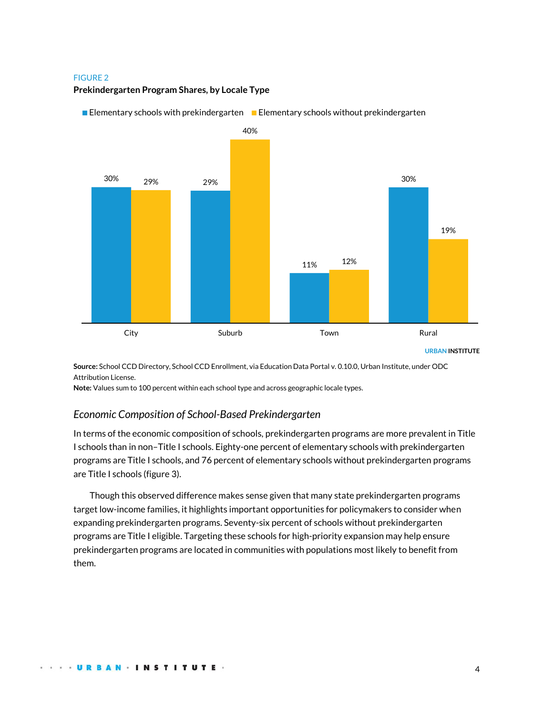#### FIGURE 2

### **Prekindergarten Program Shares, by Locale Type**



**Elementary schools with prekindergarten**  $\blacksquare$  **Elementary schools without prekindergarten** 

**Source:** School CCD Directory, School CCD Enrollment, via Education Data Portal v. 0.10.0, Urban Institute, under [ODC](https://opendatacommons.org/licenses/by/1-0/)  [Attribution License.](https://opendatacommons.org/licenses/by/1-0/)

**Note:** Values sum to 100 percent within each school type and across geographic locale types.

# *Economic Composition of School-Based Prekindergarten*

In terms of the economic composition of schools, prekindergarten programs are more prevalent in Title I schools than in non–Title I schools. Eighty-one percent of elementary schools with prekindergarten programs are Title I schools, and 76 percent of elementary schools without prekindergarten programs are Title I schools (figure 3).

Though this observed difference makes sense given that many state prekindergarten programs target low-income families, it highlights important opportunities for policymakers to consider when expanding prekindergarten programs. Seventy-six percent of schools without prekindergarten programs are Title I eligible. Targeting these schools for high-priority expansion may help ensure prekindergarten programs are located in communities with populations most likely to benefit from them.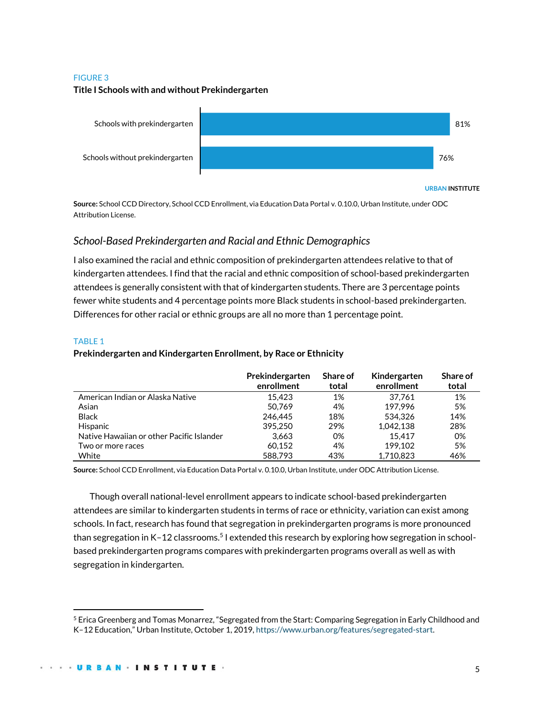#### FIGURE 3

#### **Title I Schools with and without Prekindergarten**



**URBAN INSTITUTE**

**Source:** School CCD Directory, School CCD Enrollment, via Education Data Portal v. 0.10.0, Urban Institute, under [ODC](https://opendatacommons.org/licenses/by/1-0/)  [Attribution License.](https://opendatacommons.org/licenses/by/1-0/)

# *School-Based Prekindergarten and Racial and Ethnic Demographics*

I also examined the racial and ethnic composition of prekindergarten attendees relative to that of kindergarten attendees. I find that the racial and ethnic composition of school-based prekindergarten attendees is generally consistent with that of kindergarten students. There are 3 percentage points fewer white students and 4 percentage points more Black students in school-based prekindergarten. Differences for other racial or ethnic groups are all no more than 1 percentage point.

#### TABLE 1

### **Prekindergarten and Kindergarten Enrollment, by Race or Ethnicity**

|                                           | Prekindergarten<br>enrollment | Share of<br>total | Kindergarten<br>enrollment | Share of<br>total |
|-------------------------------------------|-------------------------------|-------------------|----------------------------|-------------------|
| American Indian or Alaska Native          | 15.423                        | 1%                | 37.761                     | 1%                |
| Asian                                     | 50.769                        | 4%                | 197.996                    | 5%                |
| <b>Black</b>                              | 246,445                       | 18%               | 534.326                    | 14%               |
| Hispanic                                  | 395.250                       | 29%               | 1.042.138                  | 28%               |
| Native Hawaiian or other Pacific Islander | 3.663                         | 0%                | 15.417                     | 0%                |
| Two or more races                         | 60.152                        | 4%                | 199.102                    | 5%                |
| White                                     | 588.793                       | 43%               | 1.710.823                  | 46%               |

**Source:** School CCD Enrollment, via Education Data Portal v. 0.10.0, Urban Institute, under [ODC Attribution License.](https://opendatacommons.org/licenses/by/1-0/)

Though overall national-level enrollment appears to indicate school-based prekindergarten attendees are similar to kindergarten students in terms of race or ethnicity, variation can exist among schools. In fact, research has found that segregation in prekindergarten programs is more pronounced than segregation in K–12 classrooms.<sup>5</sup> I extended this research by exploring how segregation in schoolbased prekindergarten programs compares with prekindergarten programs overall as well as with segregation in kindergarten.

<sup>5</sup> Erica Greenberg and Tomas Monarrez, "Segregated from the Start: Comparing Segregation in Early Childhood and K–12 Education," Urban Institute, October 1, 2019, [https://www.urban.org/features/segregated-start.](https://www.urban.org/features/segregated-start)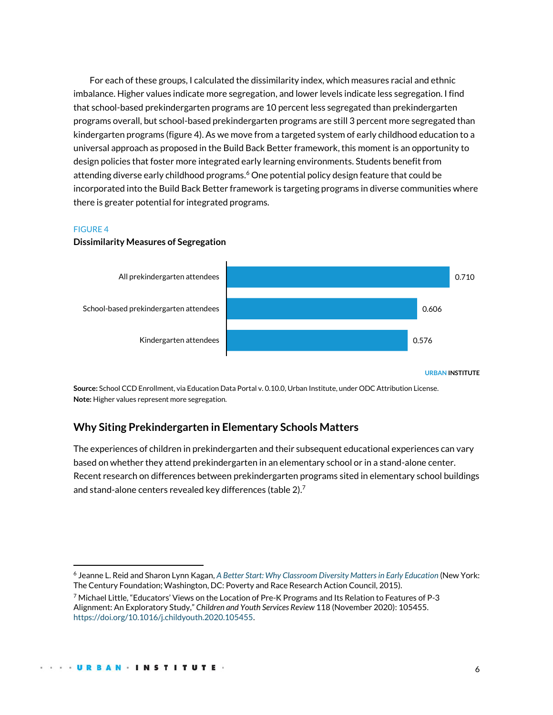For each of these groups, I calculated the dissimilarity index, which measures racial and ethnic imbalance. Higher values indicate more segregation, and lower levels indicate less segregation. I find that school-based prekindergarten programs are 10 percent less segregated than prekindergarten programs overall, but school-based prekindergarten programs are still 3 percent more segregated than kindergarten programs (figure 4). As we move from a targeted system of early childhood education to a universal approach as proposed in the Build Back Better framework, this moment is an opportunity to design policies that foster more integrated early learning environments. Students benefit from attending diverse early childhood programs. <sup>6</sup> One potential policy design feature that could be incorporated into the Build Back Better framework is targeting programs in diverse communities where there is greater potential for integrated programs.

#### FIGURE 4

#### **Dissimilarity Measures of Segregation**



**Source:** School CCD Enrollment, via Education Data Portal v. 0.10.0, Urban Institute, under [ODC Attribution License.](https://opendatacommons.org/licenses/by/1-0/) **Note:** Higher values represent more segregation.

# **Why Siting Prekindergarten in Elementary Schools Matters**

The experiences of children in prekindergarten and their subsequent educational experiences can vary based on whether they attend prekindergarten in an elementary school or in a stand-alone center. Recent research on differences between prekindergarten programs sited in elementary school buildings and stand-alone centers revealed key differences (table 2).<sup>7</sup>

<sup>6</sup> Jeanne L. Reid and Sharon Lynn Kagan, *[A Better Start: Why Classroom Diversity Matters in Early Education](https://www.prrac.org/pdf/A_Better_Start.pdf)* (New York: The Century Foundation; Washington, DC: Poverty and Race Research Action Council, 2015).

<sup>7</sup> Michael Little, "Educators' Views on the Location of Pre-K Programs and Its Relation to Features of P-3 Alignment: An Exploratory Study," *Children and Youth Services Review* 118 (November 2020): 105455. [https://doi.org/10.1016/j.childyouth.2020.105455.](https://doi.org/10.1016/j.childyouth.2020.105455)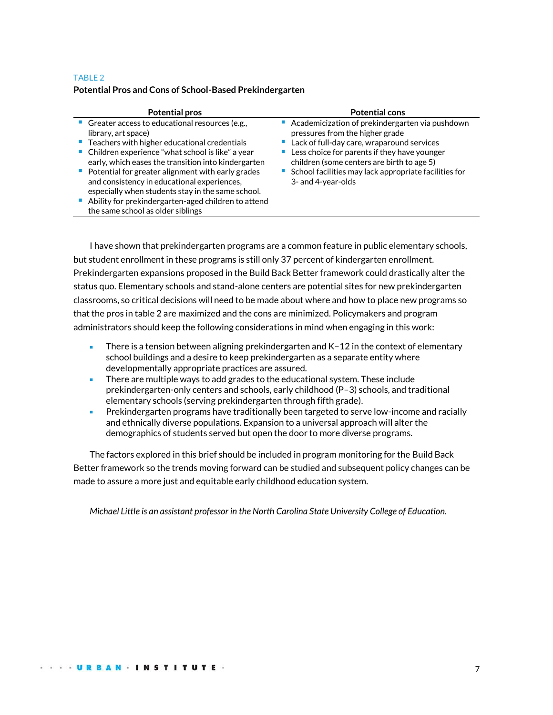## TABLE 2 **Potential Pros and Cons of School-Based Prekindergarten**

| Potential pros                                                                                                                                                                                                                                                                                | Potential cons                                                                                                                                                                                                                                                                                |
|-----------------------------------------------------------------------------------------------------------------------------------------------------------------------------------------------------------------------------------------------------------------------------------------------|-----------------------------------------------------------------------------------------------------------------------------------------------------------------------------------------------------------------------------------------------------------------------------------------------|
| • Greater access to educational resources (e.g.,<br>library, art space)<br>■ Teachers with higher educational credentials<br>• Children experience "what school is like" a year<br>early, which eases the transition into kindergarten<br>• Potential for greater alignment with early grades | • Academicization of prekindergarten via pushdown<br>pressures from the higher grade<br>Lack of full-day care, wraparound services<br>• Less choice for parents if they have younger<br>children (some centers are birth to age 5)<br>• School facilities may lack appropriate facilities for |
| and consistency in educational experiences,<br>especially when students stay in the same school.<br>Ability for prekindergarten-aged children to attend<br>the same school as older siblings                                                                                                  | 3- and 4-year-olds                                                                                                                                                                                                                                                                            |

I have shown that prekindergarten programs are a common feature in public elementary schools, but student enrollment in these programs is still only 37 percent of kindergarten enrollment. Prekindergarten expansions proposed in the Build Back Better framework could drastically alter the status quo. Elementary schools and stand-alone centers are potential sites for new prekindergarten classrooms, so critical decisions will need to be made about where and how to place new programs so that the pros in table 2 are maximized and the cons are minimized. Policymakers and program administrators should keep the following considerations in mind when engaging in this work:

- There is a tension between aligning prekindergarten and K-12 in the context of elementary school buildings and a desire to keep prekindergarten as a separate entity where developmentally appropriate practices are assured.
- There are multiple ways to add grades to the educational system. These include prekindergarten-only centers and schools, early childhood (P–3) schools, and traditional elementary schools (serving prekindergarten through fifth grade).
- Prekindergarten programs have traditionally been targeted to serve low-income and racially and ethnically diverse populations. Expansion to a universal approach will alter the demographics of students served but open the door to more diverse programs.

The factors explored in this brief should be included in program monitoring for the Build Back Better framework so the trends moving forward can be studied and subsequent policy changes can be made to assure a more just and equitable early childhood education system.

*Michael Little is an assistant professor in the North Carolina State University College of Education.*